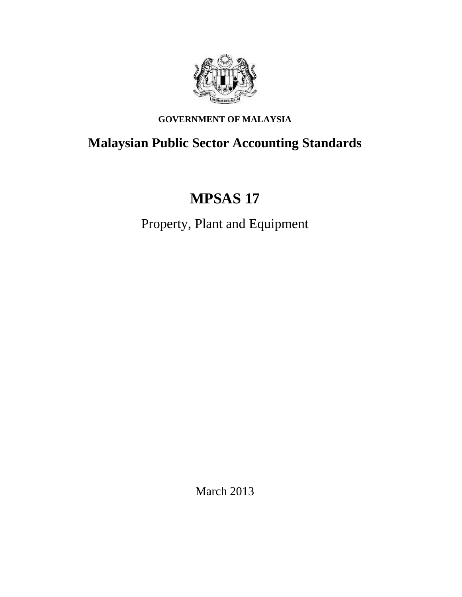

# **GOVERNMENT OF MALAYSIA**

# **Malaysian Public Sector Accounting Standards**

# **MPSAS 17**

Property, Plant and Equipment

March 2013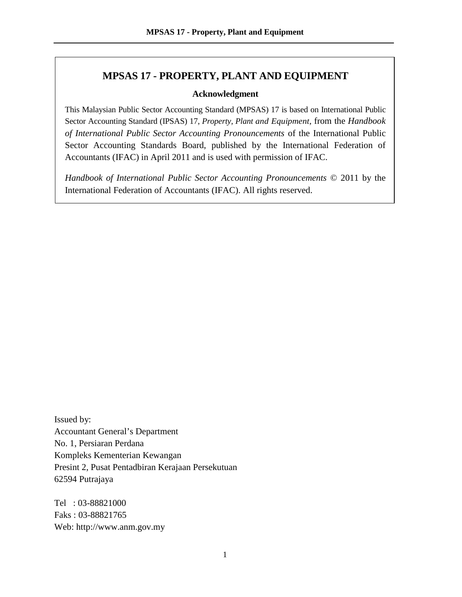# **MPSAS 17 - PROPERTY, PLANT AND EQUIPMENT**

#### **Acknowledgment**

This Malaysian Public Sector Accounting Standard (MPSAS) 17 is based on International Public Sector Accounting Standard (IPSAS) 17, *Property, Plant and Equipment*, from the *Handbook of International Public Sector Accounting Pronouncements* of the International Public Sector Accounting Standards Board, published by the International Federation of Accountants (IFAC) in April 2011 and is used with permission of IFAC.

*Handbook of International Public Sector Accounting Pronouncements* © 2011 by the International Federation of Accountants (IFAC). All rights reserved.

Issued by: Accountant General's Department No. 1, Persiaran Perdana Kompleks Kementerian Kewangan Presint 2, Pusat Pentadbiran Kerajaan Persekutuan 62594 Putrajaya

Tel : 03-88821000 Faks : 03-88821765 Web: http://www.anm.gov.my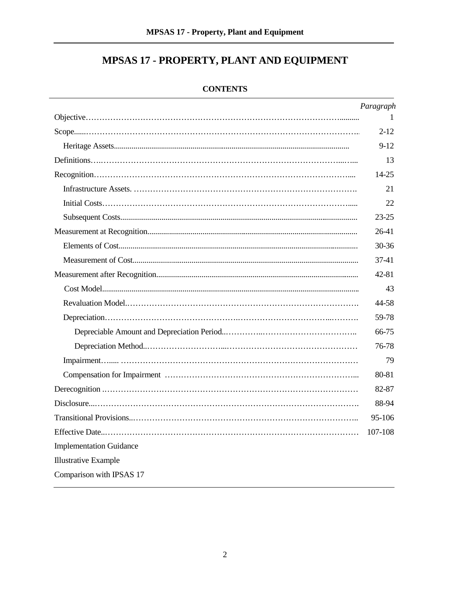# **MPSAS 17 - PROPERTY, PLANT AND EQUIPMENT**

## **CONTENTS**

| Paragraph                      |           |  |  |
|--------------------------------|-----------|--|--|
|                                |           |  |  |
|                                | $2 - 12$  |  |  |
|                                | $9-12$    |  |  |
|                                | 13        |  |  |
|                                | $14 - 25$ |  |  |
|                                | 21        |  |  |
|                                | 22        |  |  |
|                                | 23-25     |  |  |
|                                | $26-41$   |  |  |
|                                | $30 - 36$ |  |  |
|                                | $37-41$   |  |  |
|                                | 42-81     |  |  |
|                                | 43        |  |  |
|                                | 44-58     |  |  |
|                                | 59-78     |  |  |
|                                | 66-75     |  |  |
|                                | 76-78     |  |  |
|                                | 79        |  |  |
|                                | 80-81     |  |  |
|                                | 82-87     |  |  |
|                                | 88-94     |  |  |
|                                | 95-106    |  |  |
|                                | 107-108   |  |  |
| <b>Implementation Guidance</b> |           |  |  |
| <b>Illustrative Example</b>    |           |  |  |
| Comparison with IPSAS 17       |           |  |  |
|                                |           |  |  |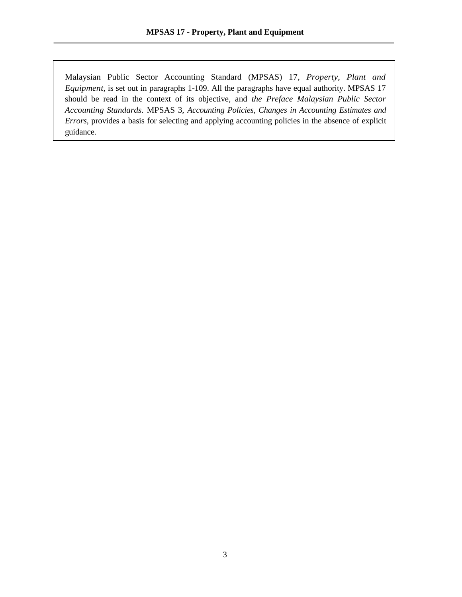Malaysian Public Sector Accounting Standard (MPSAS) 17, *Property, Plant and Equipment*, is set out in paragraphs 1-109. All the paragraphs have equal authority. MPSAS 17 should be read in the context of its objective, and *the Preface Malaysian Public Sector Accounting Standards*. MPSAS 3, *Accounting Policies, Changes in Accounting Estimates and Errors*, provides a basis for selecting and applying accounting policies in the absence of explicit guidance.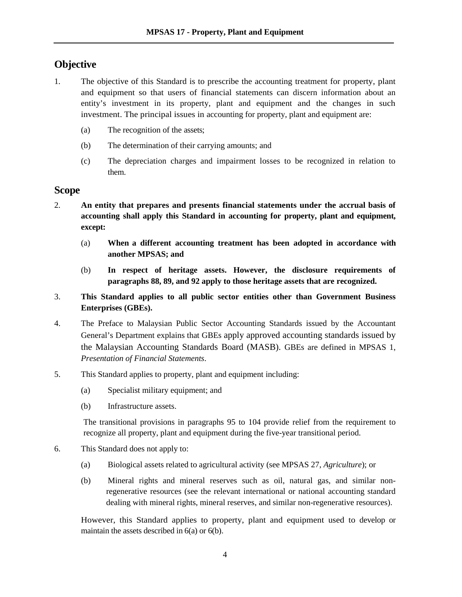# **Objective**

- 1. The objective of this Standard is to prescribe the accounting treatment for property, plant and equipment so that users of financial statements can discern information about an entity's investment in its property, plant and equipment and the changes in such investment. The principal issues in accounting for property, plant and equipment are:
	- (a) The recognition of the assets;
	- (b) The determination of their carrying amounts; and
	- (c) The depreciation charges and impairment losses to be recognized in relation to them.

#### **Scope**

- 2. **An entity that prepares and presents financial statements under the accrual basis of accounting shall apply this Standard in accounting for property, plant and equipment, except:**
	- (a) **When a different accounting treatment has been adopted in accordance with another MPSAS; and**
	- (b) **In respect of heritage assets. However, the disclosure requirements of paragraphs 88, 89, and 92 apply to those heritage assets that are recognized.**
- 3. **This Standard applies to all public sector entities other than Government Business Enterprises (GBEs).**
- 4. The Preface to Malaysian Public Sector Accounting Standards issued by the Accountant General's Department explains that GBEs apply approved accounting standards issued by the Malaysian Accounting Standards Board (MASB). GBEs are defined in MPSAS 1, *Presentation of Financial Statements*.
- 5. This Standard applies to property, plant and equipment including:
	- (a) Specialist military equipment; and
	- (b) Infrastructure assets.

The transitional provisions in paragraphs 95 to 104 provide relief from the requirement to recognize all property, plant and equipment during the five-year transitional period.

- 6. This Standard does not apply to:
	- (a) Biological assets related to agricultural activity (see MPSAS 27, *Agriculture*); or
	- (b) Mineral rights and mineral reserves such as oil, natural gas, and similar nonregenerative resources (see the relevant international or national accounting standard dealing with mineral rights, mineral reserves, and similar non-regenerative resources).

However, this Standard applies to property, plant and equipment used to develop or maintain the assets described in 6(a) or 6(b).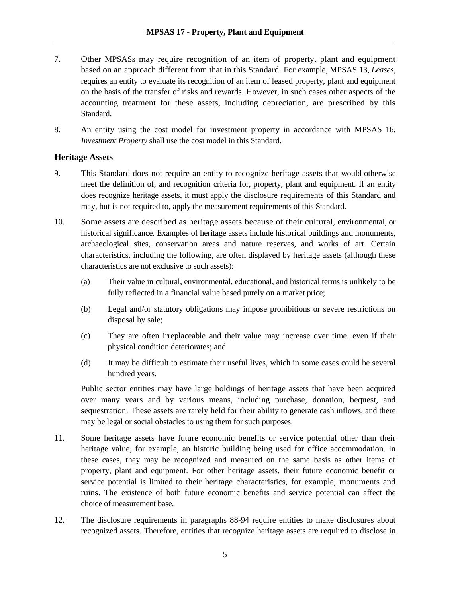- 7. Other MPSASs may require recognition of an item of property, plant and equipment based on an approach different from that in this Standard. For example, MPSAS 13, *Leases*, requires an entity to evaluate its recognition of an item of leased property, plant and equipment on the basis of the transfer of risks and rewards. However, in such cases other aspects of the accounting treatment for these assets, including depreciation, are prescribed by this Standard.
- 8. An entity using the cost model for investment property in accordance with MPSAS 16, *Investment Property* shall use the cost model in this Standard.

#### **Heritage Assets**

- 9. This Standard does not require an entity to recognize heritage assets that would otherwise meet the definition of, and recognition criteria for, property, plant and equipment. If an entity does recognize heritage assets, it must apply the disclosure requirements of this Standard and may, but is not required to, apply the measurement requirements of this Standard.
- 10. Some assets are described as heritage assets because of their cultural, environmental, or historical significance. Examples of heritage assets include historical buildings and monuments, archaeological sites, conservation areas and nature reserves, and works of art. Certain characteristics, including the following, are often displayed by heritage assets (although these characteristics are not exclusive to such assets):
	- (a) Their value in cultural, environmental, educational, and historical terms is unlikely to be fully reflected in a financial value based purely on a market price;
	- (b) Legal and/or statutory obligations may impose prohibitions or severe restrictions on disposal by sale;
	- (c) They are often irreplaceable and their value may increase over time, even if their physical condition deteriorates; and
	- (d) It may be difficult to estimate their useful lives, which in some cases could be several hundred years.

Public sector entities may have large holdings of heritage assets that have been acquired over many years and by various means, including purchase, donation, bequest, and sequestration. These assets are rarely held for their ability to generate cash inflows, and there may be legal or social obstacles to using them for such purposes.

- 11. Some heritage assets have future economic benefits or service potential other than their heritage value, for example, an historic building being used for office accommodation. In these cases, they may be recognized and measured on the same basis as other items of property, plant and equipment. For other heritage assets, their future economic benefit or service potential is limited to their heritage characteristics, for example, monuments and ruins. The existence of both future economic benefits and service potential can affect the choice of measurement base.
- 12. The disclosure requirements in paragraphs 88-94 require entities to make disclosures about recognized assets. Therefore, entities that recognize heritage assets are required to disclose in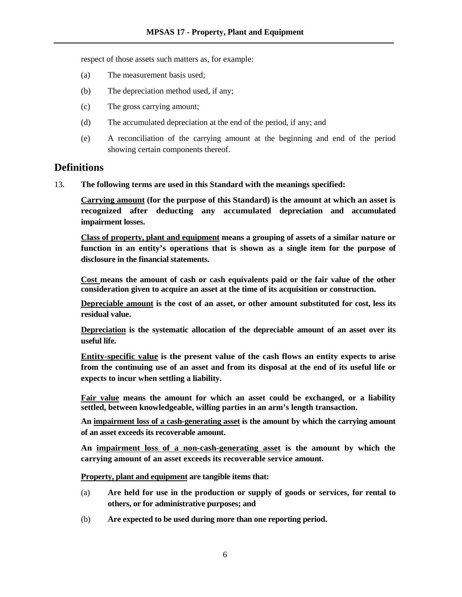respect of those assets such matters as, for example:

- (a) The measurement basis used;
- (b) The depreciation method used, if any;
- (c) The gross carrying amount;
- (d) The accumulated depreciation at the end of the period, if any; and
- (e) A reconciliation of the carrying amount at the beginning and end of the period showing certain components thereof.

## **Definitions**

13. **The following terms are used in this Standard with the meanings specified:**

**Carrying amount (for the purpose of this Standard) is the amount at which an asset is recognized after deducting any accumulated depreciation and accumulated impairment losses.**

**Class of property, plant and equipment means a grouping of assets of a similar nature or function in an entity's operations that is shown as a single item for the purpose of disclosure in the financial statements.**

**Cost means the amount of cash or cash equivalents paid or the fair value of the other consideration given to acquire an asset at the time of its acquisition or construction.**

**Depreciable amount is the cost of an asset, or other amount substituted for cost, less its residual value.**

**Depreciation is the systematic allocation of the depreciable amount of an asset over its useful life.**

**Entity-specific value is the present value of the cash flows an entity expects to arise from the continuing use of an asset and from its disposal at the end of its useful life or expects to incur when settling a liability.**

**Fair value means the amount for which an asset could be exchanged, or a liability settled, between knowledgeable, willing parties in an arm's length transaction.**

**An impairment loss of a cash-generating asset is the amount by which the carrying amount of an asset exceeds its recoverable amount.**

**An impairment loss of a non-cash-generating asset is the amount by which the carrying amount of an asset exceeds its recoverable service amount.**

**Property, plant and equipment are tangible items that:**

- (a) **Are held for use in the production or supply of goods or services, for rental to others, or for administrative purposes; and**
- (b) **Are expected to be used during more than one reporting period.**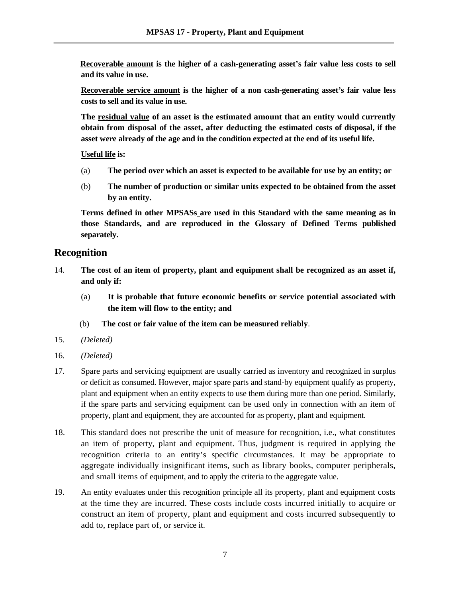**Recoverable amount is the higher of a cash-generating asset's fair value less costs to sell and its value in use.**

**Recoverable service amount is the higher of a non cash-generating asset's fair value less costs to sell and its value in use.**

**The residual value of an asset is the estimated amount that an entity would currently obtain from disposal of the asset, after deducting the estimated costs of disposal, if the asset were already of the age and in the condition expected at the end of its useful life.**

#### **Useful life is:**

- (a) **The period over which an asset is expected to be available for use by an entity; or**
- (b) **The number of production or similar units expected to be obtained from the asset by an entity.**

**Terms defined in other MPSASs are used in this Standard with the same meaning as in those Standards, and are reproduced in the Glossary of Defined Terms published separately.**

## **Recognition**

- 14. **The cost of an item of property, plant and equipment shall be recognized as an asset if, and only if:**
	- (a) **It is probable that future economic benefits or service potential associated with the item will flow to the entity; and**
	- (b) **The cost or fair value of the item can be measured reliably**.
- 15. *(Deleted)*
- 16. *(Deleted)*
- 17. Spare parts and servicing equipment are usually carried as inventory and recognized in surplus or deficit as consumed. However, major spare parts and stand-by equipment qualify as property, plant and equipment when an entity expects to use them during more than one period. Similarly, if the spare parts and servicing equipment can be used only in connection with an item of property, plant and equipment, they are accounted for as property, plant and equipment.
- 18. This standard does not prescribe the unit of measure for recognition, i.e., what constitutes an item of property, plant and equipment. Thus, judgment is required in applying the recognition criteria to an entity's specific circumstances. It may be appropriate to aggregate individually insignificant items, such as library books, computer peripherals, and small items of equipment, and to apply the criteria to the aggregate value.
- 19. An entity evaluates under this recognition principle all its property, plant and equipment costs at the time they are incurred. These costs include costs incurred initially to acquire or construct an item of property, plant and equipment and costs incurred subsequently to add to, replace part of, or service it.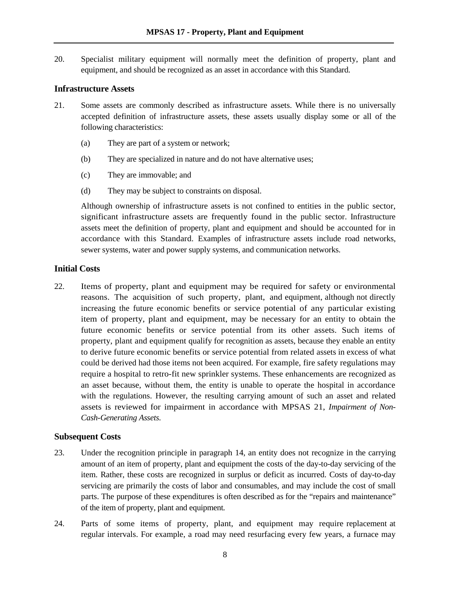20. Specialist military equipment will normally meet the definition of property, plant and equipment, and should be recognized as an asset in accordance with this Standard.

#### **Infrastructure Assets**

- 21. Some assets are commonly described as infrastructure assets. While there is no universally accepted definition of infrastructure assets, these assets usually display some or all of the following characteristics:
	- (a) They are part of a system or network;
	- (b) They are specialized in nature and do not have alternative uses;
	- (c) They are immovable; and
	- (d) They may be subject to constraints on disposal.

Although ownership of infrastructure assets is not confined to entities in the public sector, significant infrastructure assets are frequently found in the public sector. Infrastructure assets meet the definition of property, plant and equipment and should be accounted for in accordance with this Standard. Examples of infrastructure assets include road networks, sewer systems, water and power supply systems, and communication networks.

#### **Initial Costs**

22. Items of property, plant and equipment may be required for safety or environmental reasons. The acquisition of such property, plant, and equipment, although not directly increasing the future economic benefits or service potential of any particular existing item of property, plant and equipment, may be necessary for an entity to obtain the future economic benefits or service potential from its other assets. Such items of property, plant and equipment qualify for recognition as assets, because they enable an entity to derive future economic benefits or service potential from related assets in excess of what could be derived had those items not been acquired. For example, fire safety regulations may require a hospital to retro-fit new sprinkler systems. These enhancements are recognized as an asset because, without them, the entity is unable to operate the hospital in accordance with the regulations. However, the resulting carrying amount of such an asset and related assets is reviewed for impairment in accordance with MPSAS 21, *Impairment of Non- Cash-Generating Assets.*

#### **Subsequent Costs**

- 23. Under the recognition principle in paragraph 14, an entity does not recognize in the carrying amount of an item of property, plant and equipment the costs of the day-to-day servicing of the item. Rather, these costs are recognized in surplus or deficit as incurred. Costs of day-to-day servicing are primarily the costs of labor and consumables, and may include the cost of small parts. The purpose of these expenditures is often described as for the "repairs and maintenance" of the item of property, plant and equipment.
- 24. Parts of some items of property, plant, and equipment may require replacement at regular intervals. For example, a road may need resurfacing every few years, a furnace may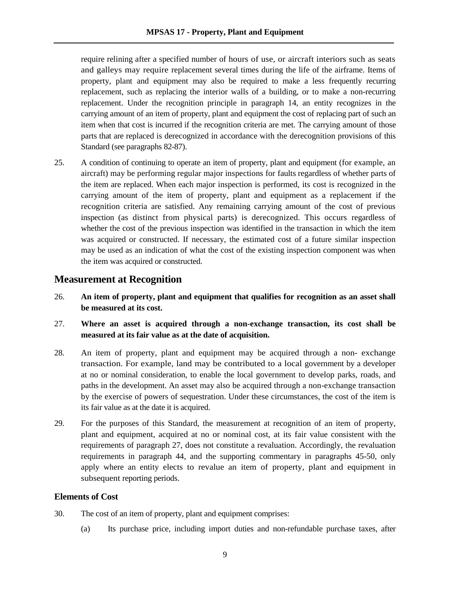require relining after a specified number of hours of use, or aircraft interiors such as seats and galleys may require replacement several times during the life of the airframe. Items of property, plant and equipment may also be required to make a less frequently recurring replacement, such as replacing the interior walls of a building, or to make a non-recurring replacement. Under the recognition principle in paragraph 14, an entity recognizes in the carrying amount of an item of property, plant and equipment the cost of replacing part of such an item when that cost is incurred if the recognition criteria are met. The carrying amount of those parts that are replaced is derecognized in accordance with the derecognition provisions of this Standard (see paragraphs 82-87).

25. A condition of continuing to operate an item of property, plant and equipment (for example, an aircraft) may be performing regular major inspections for faults regardless of whether parts of the item are replaced. When each major inspection is performed, its cost is recognized in the carrying amount of the item of property, plant and equipment as a replacement if the recognition criteria are satisfied. Any remaining carrying amount of the cost of previous inspection (as distinct from physical parts) is derecognized. This occurs regardless of whether the cost of the previous inspection was identified in the transaction in which the item was acquired or constructed. If necessary, the estimated cost of a future similar inspection may be used as an indication of what the cost of the existing inspection component was when the item was acquired or constructed.

# **Measurement at Recognition**

- 26. **An item of property, plant and equipment that qualifies for recognition as an asset shall be measured at its cost.**
- 27. **Where an asset is acquired through a non-exchange transaction, its cost shall be measured at its fair value as at the date of acquisition.**
- 28. An item of property, plant and equipment may be acquired through a non- exchange transaction. For example, land may be contributed to a local government by a developer at no or nominal consideration, to enable the local government to develop parks, roads, and paths in the development. An asset may also be acquired through a non-exchange transaction by the exercise of powers of sequestration. Under these circumstances, the cost of the item is its fair value as at the date it is acquired.
- 29. For the purposes of this Standard, the measurement at recognition of an item of property, plant and equipment, acquired at no or nominal cost, at its fair value consistent with the requirements of paragraph 27, does not constitute a revaluation. Accordingly, the revaluation requirements in paragraph 44, and the supporting commentary in paragraphs 45-50, only apply where an entity elects to revalue an item of property, plant and equipment in subsequent reporting periods.

#### **Elements of Cost**

- 30. The cost of an item of property, plant and equipment comprises:
	- (a) Its purchase price, including import duties and non-refundable purchase taxes, after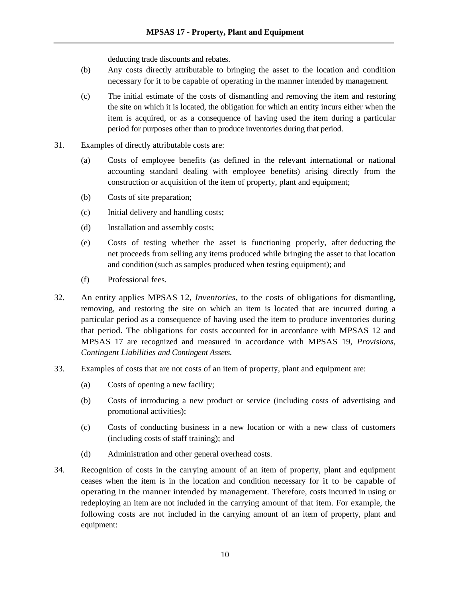deducting trade discounts and rebates.

- (b) Any costs directly attributable to bringing the asset to the location and condition necessary for it to be capable of operating in the manner intended by management.
- (c) The initial estimate of the costs of dismantling and removing the item and restoring the site on which it is located, the obligation for which an entity incurs either when the item is acquired, or as a consequence of having used the item during a particular period for purposes other than to produce inventories during that period.
- 31. Examples of directly attributable costs are:
	- (a) Costs of employee benefits (as defined in the relevant international or national accounting standard dealing with employee benefits) arising directly from the construction or acquisition of the item of property, plant and equipment;
	- (b) Costs of site preparation;
	- (c) Initial delivery and handling costs;
	- (d) Installation and assembly costs;
	- (e) Costs of testing whether the asset is functioning properly, after deducting the net proceeds from selling any items produced while bringing the asset to that location and condition (such as samples produced when testing equipment); and
	- (f) Professional fees.
- 32. An entity applies MPSAS 12, *Inventories*, to the costs of obligations for dismantling, removing, and restoring the site on which an item is located that are incurred during a particular period as a consequence of having used the item to produce inventories during that period. The obligations for costs accounted for in accordance with MPSAS 12 and MPSAS 17 are recognized and measured in accordance with MPSAS 19, *Provisions, Contingent Liabilities and Contingent Assets.*
- 33. Examples of costs that are not costs of an item of property, plant and equipment are:
	- (a) Costs of opening a new facility;
	- (b) Costs of introducing a new product or service (including costs of advertising and promotional activities);
	- (c) Costs of conducting business in a new location or with a new class of customers (including costs of staff training); and
	- (d) Administration and other general overhead costs.
- 34. Recognition of costs in the carrying amount of an item of property, plant and equipment ceases when the item is in the location and condition necessary for it to be capable of operating in the manner intended by management. Therefore, costs incurred in using or redeploying an item are not included in the carrying amount of that item. For example, the following costs are not included in the carrying amount of an item of property, plant and equipment: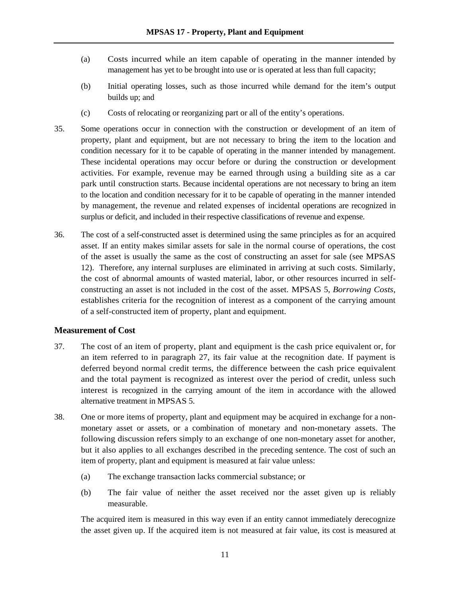- (a) Costs incurred while an item capable of operating in the manner intended by management has yet to be brought into use or is operated at less than full capacity;
- (b) Initial operating losses, such as those incurred while demand for the item's output builds up; and
- (c) Costs of relocating or reorganizing part or all of the entity's operations.
- 35. Some operations occur in connection with the construction or development of an item of property, plant and equipment, but are not necessary to bring the item to the location and condition necessary for it to be capable of operating in the manner intended by management. These incidental operations may occur before or during the construction or development activities. For example, revenue may be earned through using a building site as a car park until construction starts. Because incidental operations are not necessary to bring an item to the location and condition necessary for it to be capable of operating in the manner intended by management, the revenue and related expenses of incidental operations are recognized in surplus or deficit, and included in their respective classifications of revenue and expense.
- 36. The cost of a self-constructed asset is determined using the same principles as for an acquired asset. If an entity makes similar assets for sale in the normal course of operations, the cost of the asset is usually the same as the cost of constructing an asset for sale (see MPSAS 12). Therefore, any internal surpluses are eliminated in arriving at such costs. Similarly, the cost of abnormal amounts of wasted material, labor, or other resources incurred in self constructing an asset is not included in the cost of the asset. MPSAS 5, *Borrowing Costs*, establishes criteria for the recognition of interest as a component of the carrying amount of a self-constructed item of property, plant and equipment.

#### **Measurement of Cost**

- 37. The cost of an item of property, plant and equipment is the cash price equivalent or, for an item referred to in paragraph 27, its fair value at the recognition date. If payment is deferred beyond normal credit terms, the difference between the cash price equivalent and the total payment is recognized as interest over the period of credit, unless such interest is recognized in the carrying amount of the item in accordance with the allowed alternative treatment in MPSAS 5.
- 38. One or more items of property, plant and equipment may be acquired in exchange for a non monetary asset or assets, or a combination of monetary and non-monetary assets. The following discussion refers simply to an exchange of one non-monetary asset for another, but it also applies to all exchanges described in the preceding sentence. The cost of such an item of property, plant and equipment is measured at fair value unless:
	- (a) The exchange transaction lacks commercial substance; or
	- (b) The fair value of neither the asset received nor the asset given up is reliably measurable.

The acquired item is measured in this way even if an entity cannot immediately derecognize the asset given up. If the acquired item is not measured at fair value, its cost is measured at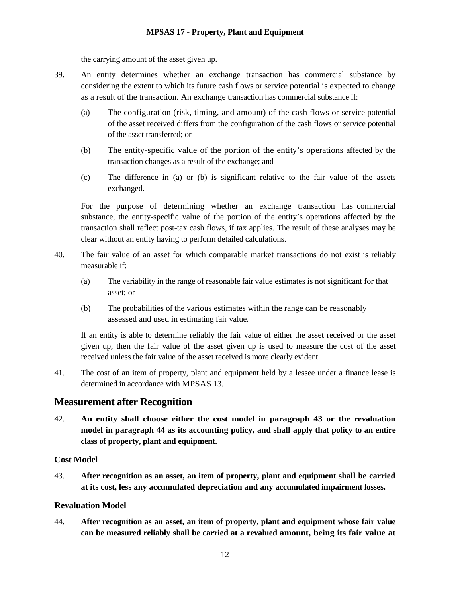the carrying amount of the asset given up.

- 39. An entity determines whether an exchange transaction has commercial substance by considering the extent to which its future cash flows or service potential is expected to change as a result of the transaction. An exchange transaction has commercial substance if:
	- (a) The configuration (risk, timing, and amount) of the cash flows or service potential of the asset received differs from the configuration of the cash flows or service potential of the asset transferred; or
	- (b) The entity-specific value of the portion of the entity's operations affected by the transaction changes as a result of the exchange; and
	- (c) The difference in (a) or (b) is significant relative to the fair value of the assets exchanged.

For the purpose of determining whether an exchange transaction has commercial substance, the entity-specific value of the portion of the entity's operations affected by the transaction shall reflect post-tax cash flows, if tax applies. The result of these analyses may be clear without an entity having to perform detailed calculations.

- 40. The fair value of an asset for which comparable market transactions do not exist is reliably measurable if:
	- (a) The variability in the range of reasonable fair value estimates is not significant for that asset; or
	- (b) The probabilities of the various estimates within the range can be reasonably assessed and used in estimating fair value.

If an entity is able to determine reliably the fair value of either the asset received or the asset given up, then the fair value of the asset given up is used to measure the cost of the asset received unless the fair value of the asset received is more clearly evident.

41. The cost of an item of property, plant and equipment held by a lessee under a finance lease is determined in accordance with MPSAS 13.

#### **Measurement after Recognition**

42. **An entity shall choose either the cost model in paragraph 43 or the revaluation model in paragraph 44 as its accounting policy, and shall apply that policy to an entire class of property, plant and equipment.**

#### **Cost Model**

43. **After recognition as an asset, an item of property, plant and equipment shall be carried at its cost, less any accumulated depreciation and any accumulated impairment losses.**

#### **Revaluation Model**

44. **After recognition as an asset, an item of property, plant and equipment whose fair value can be measured reliably shall be carried at a revalued amount, being its fair value at**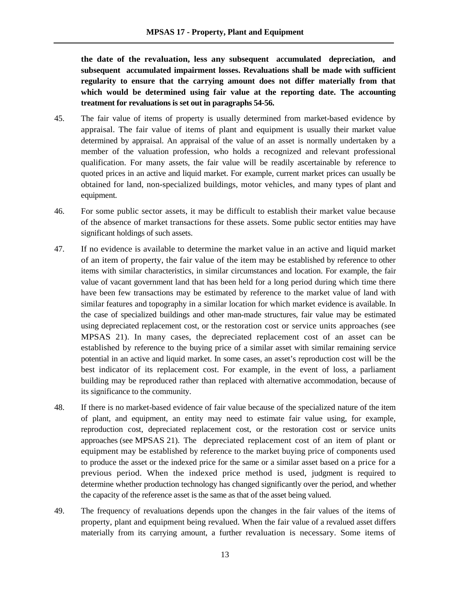**the date of the revaluation, less any subsequent accumulated depreciation, and subsequent accumulated impairment losses. Revaluations shall be made with sufficient regularity to ensure that the carrying amount does not differ materially from that which would be determined using fair value at the reporting date. The accounting treatment for revaluations is set out in paragraphs 54-56.**

- 45. The fair value of items of property is usually determined from market-based evidence by appraisal. The fair value of items of plant and equipment is usually their market value determined by appraisal. An appraisal of the value of an asset is normally undertaken by a member of the valuation profession, who holds a recognized and relevant professional qualification. For many assets, the fair value will be readily ascertainable by reference to quoted prices in an active and liquid market. For example, current market prices can usually be obtained for land, non-specialized buildings, motor vehicles, and many types of plant and equipment.
- 46. For some public sector assets, it may be difficult to establish their market value because of the absence of market transactions for these assets. Some public sector entities may have significant holdings of such assets.
- 47. If no evidence is available to determine the market value in an active and liquid market of an item of property, the fair value of the item may be established by reference to other items with similar characteristics, in similar circumstances and location. For example, the fair value of vacant government land that has been held for a long period during which time there have been few transactions may be estimated by reference to the market value of land with similar features and topography in a similar location for which market evidence is available. In the case of specialized buildings and other man-made structures, fair value may be estimated using depreciated replacement cost, or the restoration cost or service units approaches (see MPSAS 21). In many cases, the depreciated replacement cost of an asset can be established by reference to the buying price of a similar asset with similar remaining service potential in an active and liquid market. In some cases, an asset's reproduction cost will be the best indicator of its replacement cost. For example, in the event of loss, a parliament building may be reproduced rather than replaced with alternative accommodation, because of its significance to the community.
- 48. If there is no market-based evidence of fair value because of the specialized nature of the item of plant, and equipment, an entity may need to estimate fair value using, for example, reproduction cost, depreciated replacement cost, or the restoration cost or service units approaches (see MPSAS 21). The depreciated replacement cost of an item of plant or equipment may be established by reference to the market buying price of components used to produce the asset or the indexed price for the same or a similar asset based on a price for a previous period. When the indexed price method is used, judgment is required to determine whether production technology has changed significantly over the period, and whether the capacity of the reference asset is the same as that of the asset being valued.
- 49. The frequency of revaluations depends upon the changes in the fair values of the items of property, plant and equipment being revalued. When the fair value of a revalued asset differs materially from its carrying amount, a further revaluation is necessary. Some items of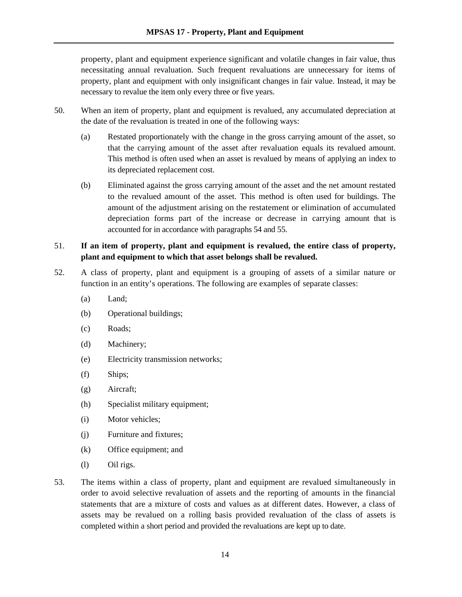property, plant and equipment experience significant and volatile changes in fair value, thus necessitating annual revaluation. Such frequent revaluations are unnecessary for items of property, plant and equipment with only insignificant changes in fair value. Instead, it may be necessary to revalue the item only every three or five years.

- 50. When an item of property, plant and equipment is revalued, any accumulated depreciation at the date of the revaluation is treated in one of the following ways:
	- (a) Restated proportionately with the change in the gross carrying amount of the asset, so that the carrying amount of the asset after revaluation equals its revalued amount. This method is often used when an asset is revalued by means of applying an index to its depreciated replacement cost.
	- (b) Eliminated against the gross carrying amount of the asset and the net amount restated to the revalued amount of the asset. This method is often used for buildings. The amount of the adjustment arising on the restatement or elimination of accumulated depreciation forms part of the increase or decrease in carrying amount that is accounted for in accordance with paragraphs 54 and 55.

#### 51. **If an item of property, plant and equipment is revalued, the entire class of property, plant and equipment to which that asset belongs shall be revalued.**

- 52. A class of property, plant and equipment is a grouping of assets of a similar nature or function in an entity's operations. The following are examples of separate classes:
	- (a) Land;
	- (b) Operational buildings;
	- (c) Roads;
	- (d) Machinery;
	- (e) Electricity transmission networks;
	- (f) Ships;
	- (g) Aircraft;
	- (h) Specialist military equipment;
	- (i) Motor vehicles;
	- (j) Furniture and fixtures;
	- (k) Office equipment; and
	- (l) Oil rigs.
- 53. The items within a class of property, plant and equipment are revalued simultaneously in order to avoid selective revaluation of assets and the reporting of amounts in the financial statements that are a mixture of costs and values as at different dates. However, a class of assets may be revalued on a rolling basis provided revaluation of the class of assets is completed within a short period and provided the revaluations are kept up to date.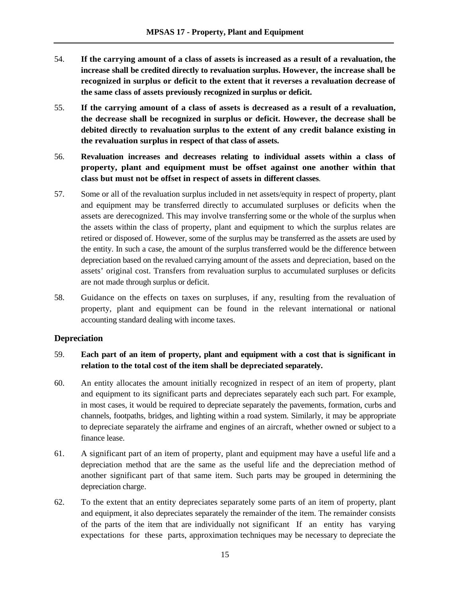- 54. **If the carrying amount of a class of assets is increased as a result of a revaluation, the increase shall be credited directly to revaluation surplus. However, the increase shall be recognized in surplus or deficit to the extent that it reverses a revaluation decrease of the same class of assets previously recognized in surplus or deficit.**
- 55. **If the carrying amount of a class of assets is decreased as a result of a revaluation, the decrease shall be recognized in surplus or deficit. However, the decrease shall be debited directly to revaluation surplus to the extent of any credit balance existing in the revaluation surplus in respect of that class of assets.**
- 56. **Revaluation increases and decreases relating to individual assets within a class of property, plant and equipment must be offset against one another within that class but must not be offset in respect of assets in different classes**.
- 57. Some or all of the revaluation surplus included in net assets/equity in respect of property, plant and equipment may be transferred directly to accumulated surpluses or deficits when the assets are derecognized. This may involve transferring some or the whole of the surplus when the assets within the class of property, plant and equipment to which the surplus relates are retired or disposed of. However, some of the surplus may be transferred as the assets are used by the entity. In such a case, the amount of the surplus transferred would be the difference between depreciation based on the revalued carrying amount of the assets and depreciation, based on the assets' original cost. Transfers from revaluation surplus to accumulated surpluses or deficits are not made through surplus or deficit.
- 58. Guidance on the effects on taxes on surpluses, if any, resulting from the revaluation of property, plant and equipment can be found in the relevant international or national accounting standard dealing with income taxes.

#### **Depreciation**

- 59. **Each part of an item of property, plant and equipment with a cost that is significant in relation to the total cost of the item shall be depreciated separately.**
- 60. An entity allocates the amount initially recognized in respect of an item of property, plant and equipment to its significant parts and depreciates separately each such part. For example, in most cases, it would be required to depreciate separately the pavements, formation, curbs and channels, footpaths, bridges, and lighting within a road system. Similarly, it may be appropriate to depreciate separately the airframe and engines of an aircraft, whether owned or subject to a finance lease.
- 61. A significant part of an item of property, plant and equipment may have a useful life and a depreciation method that are the same as the useful life and the depreciation method of another significant part of that same item. Such parts may be grouped in determining the depreciation charge.
- 62. To the extent that an entity depreciates separately some parts of an item of property, plant and equipment, it also depreciates separately the remainder of the item. The remainder consists of the parts of the item that are individually not significant If an entity has varying expectations for these parts, approximation techniques may be necessary to depreciate the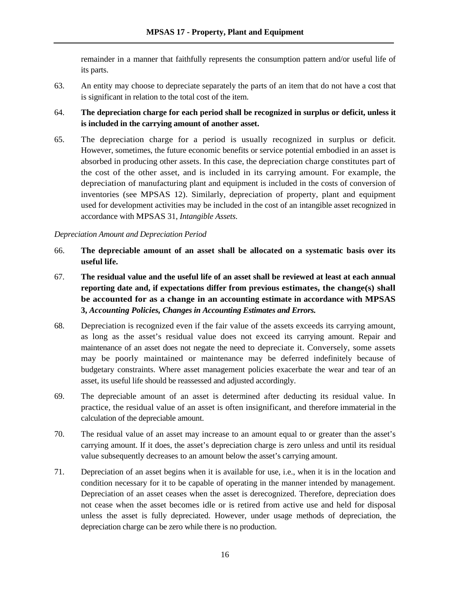remainder in a manner that faithfully represents the consumption pattern and/or useful life of its parts.

- 63. An entity may choose to depreciate separately the parts of an item that do not have a cost that is significant in relation to the total cost of the item.
- 64. **The depreciation charge for each period shall be recognized in surplus or deficit, unless it is included in the carrying amount of another asset.**
- 65. The depreciation charge for a period is usually recognized in surplus or deficit. However, sometimes, the future economic benefits or service potential embodied in an asset is absorbed in producing other assets. In this case, the depreciation charge constitutes part of the cost of the other asset, and is included in its carrying amount. For example, the depreciation of manufacturing plant and equipment is included in the costs of conversion of inventories (see MPSAS 12). Similarly, depreciation of property, plant and equipment used for development activities may be included in the cost of an intangible asset recognized in accordance with MPSAS 31, *Intangible Assets*.

#### *Depreciation Amount and Depreciation Period*

- 66. **The depreciable amount of an asset shall be allocated on a systematic basis over its useful life.**
- 67. **The residual value and the useful life of an asset shall be reviewed at least at each annual reporting date and, if expectations differ from previous estimates, the change(s) shall be accounted for as a change in an accounting estimate in accordance with MPSAS 3,** *Accounting Policies, Changes in Accounting Estimates and Errors***.**
- 68. Depreciation is recognized even if the fair value of the assets exceeds its carrying amount, as long as the asset's residual value does not exceed its carrying amount. Repair and maintenance of an asset does not negate the need to depreciate it. Conversely, some assets may be poorly maintained or maintenance may be deferred indefinitely because of budgetary constraints. Where asset management policies exacerbate the wear and tear of an asset, its useful life should be reassessed and adjusted accordingly.
- 69. The depreciable amount of an asset is determined after deducting its residual value. In practice, the residual value of an asset is often insignificant, and therefore immaterial in the calculation of the depreciable amount.
- 70. The residual value of an asset may increase to an amount equal to or greater than the asset's carrying amount. If it does, the asset's depreciation charge is zero unless and until its residual value subsequently decreases to an amount below the asset's carrying amount.
- 71. Depreciation of an asset begins when it is available for use, i.e., when it is in the location and condition necessary for it to be capable of operating in the manner intended by management. Depreciation of an asset ceases when the asset is derecognized. Therefore, depreciation does not cease when the asset becomes idle or is retired from active use and held for disposal unless the asset is fully depreciated. However, under usage methods of depreciation, the depreciation charge can be zero while there is no production.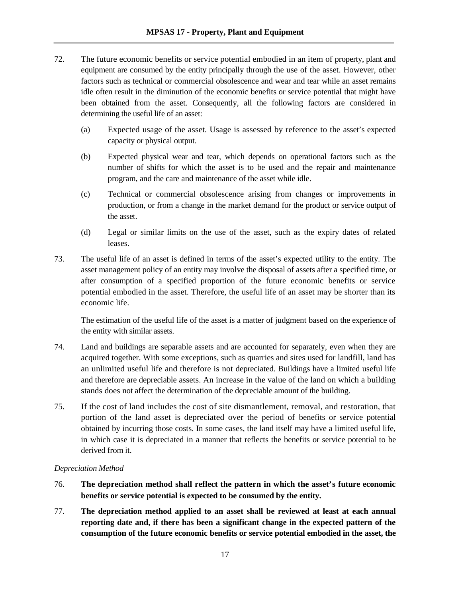- 72. The future economic benefits or service potential embodied in an item of property, plant and equipment are consumed by the entity principally through the use of the asset. However, other factors such as technical or commercial obsolescence and wear and tear while an asset remains idle often result in the diminution of the economic benefits or service potential that might have been obtained from the asset. Consequently, all the following factors are considered in determining the useful life of an asset:
	- (a) Expected usage of the asset. Usage is assessed by reference to the asset's expected capacity or physical output.
	- (b) Expected physical wear and tear, which depends on operational factors such as the number of shifts for which the asset is to be used and the repair and maintenance program, and the care and maintenance of the asset while idle.
	- (c) Technical or commercial obsolescence arising from changes or improvements in production, or from a change in the market demand for the product or service output of the asset.
	- (d) Legal or similar limits on the use of the asset, such as the expiry dates of related leases.
- 73. The useful life of an asset is defined in terms of the asset's expected utility to the entity. The asset management policy of an entity may involve the disposal of assets after a specified time, or after consumption of a specified proportion of the future economic benefits or service potential embodied in the asset. Therefore, the useful life of an asset may be shorter than its economic life.

The estimation of the useful life of the asset is a matter of judgment based on the experience of the entity with similar assets.

- 74. Land and buildings are separable assets and are accounted for separately, even when they are acquired together. With some exceptions, such as quarries and sites used for landfill, land has an unlimited useful life and therefore is not depreciated. Buildings have a limited useful life and therefore are depreciable assets. An increase in the value of the land on which a building stands does not affect the determination of the depreciable amount of the building.
- 75. If the cost of land includes the cost of site dismantlement, removal, and restoration, that portion of the land asset is depreciated over the period of benefits or service potential obtained by incurring those costs. In some cases, the land itself may have a limited useful life, in which case it is depreciated in a manner that reflects the benefits or service potential to be derived from it.

#### *Depreciation Method*

- 76. **The depreciation method shall reflect the pattern in which the asset's future economic benefits or service potential is expected to be consumed by the entity.**
- 77. **The depreciation method applied to an asset shall be reviewed at least at each annual reporting date and, if there has been a significant change in the expected pattern of the consumption of the future economic benefits or service potential embodied in the asset, the**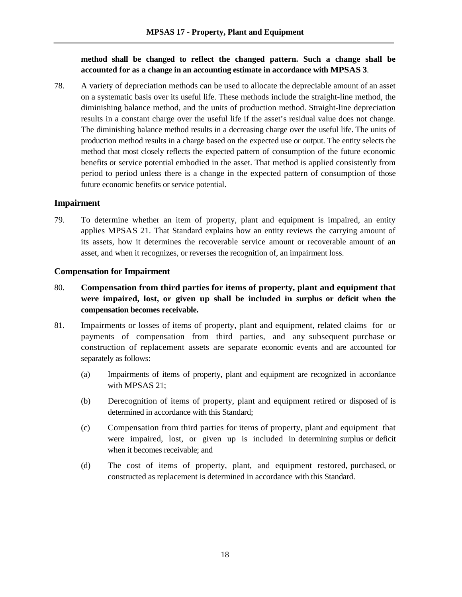**method shall be changed to reflect the changed pattern. Such a change shall be accounted for as a change in an accounting estimate in accordance with MPSAS 3**.

78. A variety of depreciation methods can be used to allocate the depreciable amount of an asset on a systematic basis over its useful life. These methods include the straight-line method, the diminishing balance method, and the units of production method. Straight-line depreciation results in a constant charge over the useful life if the asset's residual value does not change. The diminishing balance method results in a decreasing charge over the useful life. The units of production method results in a charge based on the expected use or output. The entity selects the method that most closely reflects the expected pattern of consumption of the future economic benefits or service potential embodied in the asset. That method is applied consistently from period to period unless there is a change in the expected pattern of consumption of those future economic benefits or service potential.

#### **Impairment**

79. To determine whether an item of property, plant and equipment is impaired, an entity applies MPSAS 21. That Standard explains how an entity reviews the carrying amount of its assets, how it determines the recoverable service amount or recoverable amount of an asset, and when it recognizes, or reverses the recognition of, an impairment loss.

#### **Compensation for Impairment**

- 80. **Compensation from third parties for items of property, plant and equipment that were impaired, lost, or given up shall be included in surplus or deficit when the compensation becomes receivable.**
- 81. Impairments or losses of items of property, plant and equipment, related claims for or payments of compensation from third parties, and any subsequent purchase or construction of replacement assets are separate economic events and are accounted for separately as follows:
	- (a) Impairments of items of property, plant and equipment are recognized in accordance with MPSAS 21;
	- (b) Derecognition of items of property, plant and equipment retired or disposed of is determined in accordance with this Standard;
	- (c) Compensation from third parties for items of property, plant and equipment that were impaired, lost, or given up is included in determining surplus or deficit when it becomes receivable; and
	- (d) The cost of items of property, plant, and equipment restored, purchased, or constructed as replacement is determined in accordance with this Standard.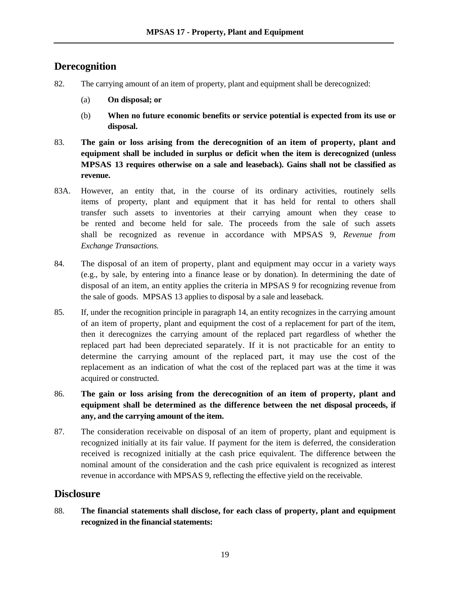# **Derecognition**

- 82. The carrying amount of an item of property, plant and equipment shall be derecognized:
	- (a) **On disposal; or**
	- (b) **When no future economic benefits or service potential is expected from its use or disposal.**
- 83. **The gain or loss arising from the derecognition of an item of property, plant and equipment shall be included in surplus or deficit when the item is derecognized (unless MPSAS 13 requires otherwise on a sale and leaseback). Gains shall not be classified as revenue.**
- 83A. However, an entity that, in the course of its ordinary activities, routinely sells items of property, plant and equipment that it has held for rental to others shall transfer such assets to inventories at their carrying amount when they cease to be rented and become held for sale. The proceeds from the sale of such assets shall be recognized as revenue in accordance with MPSAS 9, *Revenue from Exchange Transactions.*
- 84. The disposal of an item of property, plant and equipment may occur in a variety ways (e.g., by sale, by entering into a finance lease or by donation). In determining the date of disposal of an item, an entity applies the criteria in MPSAS 9 for recognizing revenue from the sale of goods. MPSAS 13 applies to disposal by a sale and leaseback.
- 85. If, under the recognition principle in paragraph 14, an entity recognizes in the carrying amount of an item of property, plant and equipment the cost of a replacement for part of the item, then it derecognizes the carrying amount of the replaced part regardless of whether the replaced part had been depreciated separately. If it is not practicable for an entity to determine the carrying amount of the replaced part, it may use the cost of the replacement as an indication of what the cost of the replaced part was at the time it was acquired or constructed.
- 86. **The gain or loss arising from the derecognition of an item of property, plant and equipment shall be determined as the difference between the net disposal proceeds, if any, and the carrying amount of the item.**
- 87. The consideration receivable on disposal of an item of property, plant and equipment is recognized initially at its fair value. If payment for the item is deferred, the consideration received is recognized initially at the cash price equivalent. The difference between the nominal amount of the consideration and the cash price equivalent is recognized as interest revenue in accordance with MPSAS 9, reflecting the effective yield on the receivable.

#### **Disclosure**

88. **The financial statements shall disclose, for each class of property, plant and equipment recognized in the financial statements:**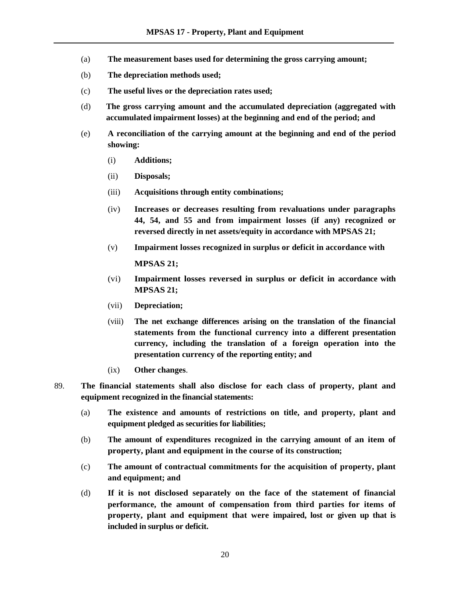- (a) **The measurement bases used for determining the gross carrying amount;**
- (b) **The depreciation methods used;**
- (c) **The useful lives or the depreciation rates used;**
- (d) **The gross carrying amount and the accumulated depreciation (aggregated with accumulated impairment losses) at the beginning and end of the period; and**
- (e) **A reconciliation of the carrying amount at the beginning and end of the period showing:**
	- (i) **Additions;**
	- (ii) **Disposals;**
	- (iii) **Acquisitions through entity combinations;**
	- (iv) **Increases or decreases resulting from revaluations under paragraphs 44, 54, and 55 and from impairment losses (if any) recognized or reversed directly in net assets/equity in accordance with MPSAS 21;**
	- (v) **Impairment losses recognized in surplus or deficit in accordance with MPSAS 21;**
	- (vi) **Impairment losses reversed in surplus or deficit in accordance with MPSAS 21;**
	- (vii) **Depreciation;**
	- (viii) **The net exchange differences arising on the translation of the financial statements from the functional currency into a different presentation currency, including the translation of a foreign operation into the presentation currency of the reporting entity; and**
	- (ix) **Other changes**.
- 89. **The financial statements shall also disclose for each class of property, plant and equipment recognized in the financial statements:**
	- (a) **The existence and amounts of restrictions on title, and property, plant and equipment pledged as securities for liabilities;**
	- (b) **The amount of expenditures recognized in the carrying amount of an item of property, plant and equipment in the course of its construction;**
	- (c) **The amount of contractual commitments for the acquisition of property, plant and equipment; and**
	- (d) **If it is not disclosed separately on the face of the statement of financial performance, the amount of compensation from third parties for items of property, plant and equipment that were impaired, lost or given up that is included in surplus or deficit.**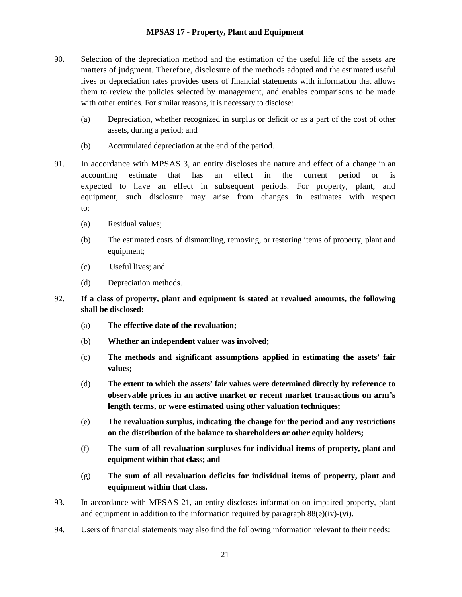- 90. Selection of the depreciation method and the estimation of the useful life of the assets are matters of judgment. Therefore, disclosure of the methods adopted and the estimated useful lives or depreciation rates provides users of financial statements with information that allows them to review the policies selected by management, and enables comparisons to be made with other entities. For similar reasons, it is necessary to disclose:
	- (a) Depreciation, whether recognized in surplus or deficit or as a part of the cost of other assets, during a period; and
	- (b) Accumulated depreciation at the end of the period.
- 91. In accordance with MPSAS 3, an entity discloses the nature and effect of a change in an accounting estimate that has an effect in the current period or is expected to have an effect in subsequent periods. For property, plant, and equipment, such disclosure may arise from changes in estimates with respect to:
	- (a) Residual values;
	- (b) The estimated costs of dismantling, removing, or restoring items of property, plant and equipment;
	- (c) Useful lives; and
	- (d) Depreciation methods.
- 92. **If a class of property, plant and equipment is stated at revalued amounts, the following shall be disclosed:**
	- (a) **The effective date of the revaluation;**
	- (b) **Whether an independent valuer was involved;**
	- (c) **The methods and significant assumptions applied in estimating the assets' fair values;**
	- (d) **The extent to which the assets' fair values were determined directly by reference to observable prices in an active market or recent market transactions on arm's length terms, or were estimated using other valuation techniques;**
	- (e) **The revaluation surplus, indicating the change for the period and any restrictions on the distribution of the balance to shareholders or other equity holders;**
	- (f) **The sum of all revaluation surpluses for individual items of property, plant and equipment within that class; and**
	- (g) **The sum of all revaluation deficits for individual items of property, plant and equipment within that class.**
- 93. In accordance with MPSAS 21, an entity discloses information on impaired property, plant and equipment in addition to the information required by paragraph  $88(e)(iv)-(vi)$ .
- 94. Users of financial statements may also find the following information relevant to their needs: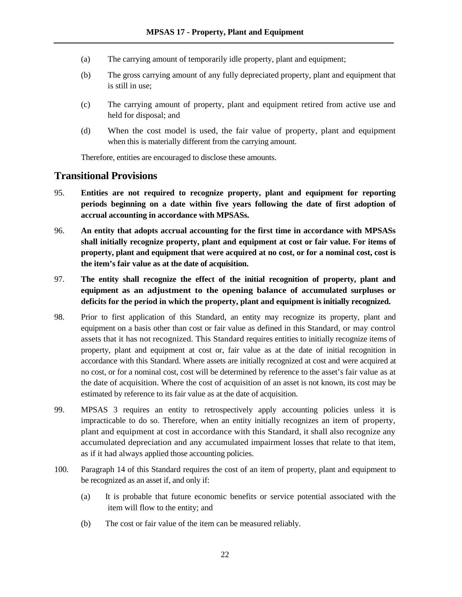- (a) The carrying amount of temporarily idle property, plant and equipment;
- (b) The gross carrying amount of any fully depreciated property, plant and equipment that is still in use;
- (c) The carrying amount of property, plant and equipment retired from active use and held for disposal; and
- (d) When the cost model is used, the fair value of property, plant and equipment when this is materially different from the carrying amount.

Therefore, entities are encouraged to disclose these amounts.

#### **Transitional Provisions**

- 95. **Entities are not required to recognize property, plant and equipment for reporting periods beginning on a date within five years following the date of first adoption of accrual accounting in accordance with MPSASs.**
- 96. **An entity that adopts accrual accounting for the first time in accordance with MPSASs shall initially recognize property, plant and equipment at cost or fair value. For items of property, plant and equipment that were acquired at no cost, or for a nominal cost, cost is the item's fair value as at the date of acquisition.**
- 97. **The entity shall recognize the effect of the initial recognition of property, plant and equipment as an adjustment to the opening balance of accumulated surpluses or deficits for the period in which the property, plant and equipment is initially recognized.**
- 98. Prior to first application of this Standard, an entity may recognize its property, plant and equipment on a basis other than cost or fair value as defined in this Standard, or may control assets that it has not recognized. This Standard requires entities to initially recognize items of property, plant and equipment at cost or, fair value as at the date of initial recognition in accordance with this Standard. Where assets are initially recognized at cost and were acquired at no cost, or for a nominal cost, cost will be determined by reference to the asset's fair value as at the date of acquisition. Where the cost of acquisition of an asset is not known, its cost may be estimated by reference to its fair value as at the date of acquisition.
- 99. MPSAS 3 requires an entity to retrospectively apply accounting policies unless it is impracticable to do so. Therefore, when an entity initially recognizes an item of property, plant and equipment at cost in accordance with this Standard, it shall also recognize any accumulated depreciation and any accumulated impairment losses that relate to that item, as if it had always applied those accounting policies.
- 100. Paragraph 14 of this Standard requires the cost of an item of property, plant and equipment to be recognized as an asset if, and only if:
	- (a) It is probable that future economic benefits or service potential associated with the item will flow to the entity; and
	- (b) The cost or fair value of the item can be measured reliably.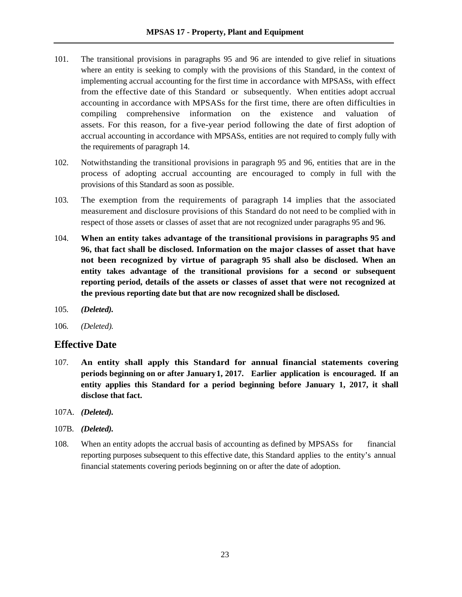- 101. The transitional provisions in paragraphs 95 and 96 are intended to give relief in situations where an entity is seeking to comply with the provisions of this Standard, in the context of implementing accrual accounting for the first time in accordance with MPSASs, with effect from the effective date of this Standard or subsequently. When entities adopt accrual accounting in accordance with MPSASs for the first time, there are often difficulties in compiling comprehensive information on the existence and valuation of assets. For this reason, for a five-year period following the date of first adoption of accrual accounting in accordance with MPSASs, entities are not required to comply fully with the requirements of paragraph 14.
- 102. Notwithstanding the transitional provisions in paragraph 95 and 96, entities that are in the process of adopting accrual accounting are encouraged to comply in full with the provisions of this Standard as soon as possible.
- 103. The exemption from the requirements of paragraph 14 implies that the associated measurement and disclosure provisions of this Standard do not need to be complied with in respect of those assets or classes of asset that are not recognized under paragraphs 95 and 96.
- 104. **When an entity takes advantage of the transitional provisions in paragraphs 95 and 96, that fact shall be disclosed. Information on the major classes of asset that have not been recognized by virtue of paragraph 95 shall also be disclosed. When an entity takes advantage of the transitional provisions for a second or subsequent reporting period, details of the assets or classes of asset that were not recognized at the previous reporting date but that are now recognized shall be disclosed.**
- 105. *(Deleted).*
- 106. *(Deleted).*

#### **Effective Date**

- 107. **An entity shall apply this Standard for annual financial statements covering periods beginning on or after January1, 2017. Earlier application is encouraged. If an entity applies this Standard for a period beginning before January 1, 2017, it shall disclose that fact.**
- 107A. *(Deleted).*
- 107B. *(Deleted).*
- 108. When an entity adopts the accrual basis of accounting as defined by MPSASs for financial reporting purposes subsequent to this effective date, this Standard applies to the entity's annual financial statements covering periods beginning on or after the date of adoption.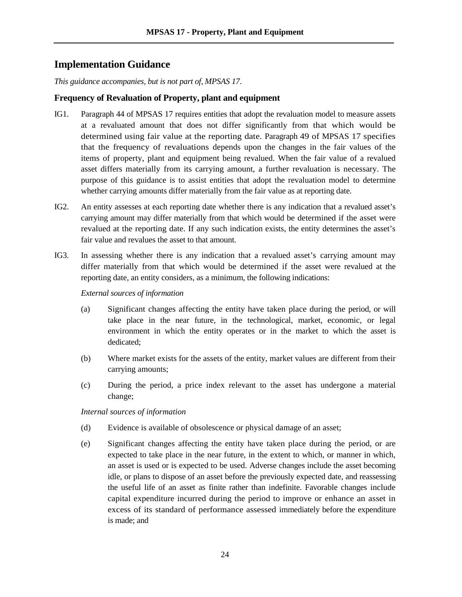# **Implementation Guidance**

#### *This guidance accompanies, but is not part of, MPSAS 17*.

#### **Frequency of Revaluation of Property, plant and equipment**

- IG1. Paragraph 44 of MPSAS 17 requires entities that adopt the revaluation model to measure assets at a revaluated amount that does not differ significantly from that which would be determined using fair value at the reporting date. Paragraph 49 of MPSAS 17 specifies that the frequency of revaluations depends upon the changes in the fair values of the items of property, plant and equipment being revalued. When the fair value of a revalued asset differs materially from its carrying amount, a further revaluation is necessary. The purpose of this guidance is to assist entities that adopt the revaluation model to determine whether carrying amounts differ materially from the fair value as at reporting date.
- IG2. An entity assesses at each reporting date whether there is any indication that a revalued asset's carrying amount may differ materially from that which would be determined if the asset were revalued at the reporting date. If any such indication exists, the entity determines the asset's fair value and revalues the asset to that amount.
- IG3. In assessing whether there is any indication that a revalued asset's carrying amount may differ materially from that which would be determined if the asset were revalued at the reporting date, an entity considers, as a minimum, the following indications:

#### *External sources of information*

- (a) Significant changes affecting the entity have taken place during the period, or will take place in the near future, in the technological, market, economic, or legal environment in which the entity operates or in the market to which the asset is dedicated;
- (b) Where market exists for the assets of the entity, market values are different from their carrying amounts;
- (c) During the period, a price index relevant to the asset has undergone a material change;

#### *Internal sources of information*

- (d) Evidence is available of obsolescence or physical damage of an asset;
- (e) Significant changes affecting the entity have taken place during the period, or are expected to take place in the near future, in the extent to which, or manner in which, an asset is used or is expected to be used. Adverse changes include the asset becoming idle, or plans to dispose of an asset before the previously expected date, and reassessing the useful life of an asset as finite rather than indefinite. Favorable changes include capital expenditure incurred during the period to improve or enhance an asset in excess of its standard of performance assessed immediately before the expenditure is made; and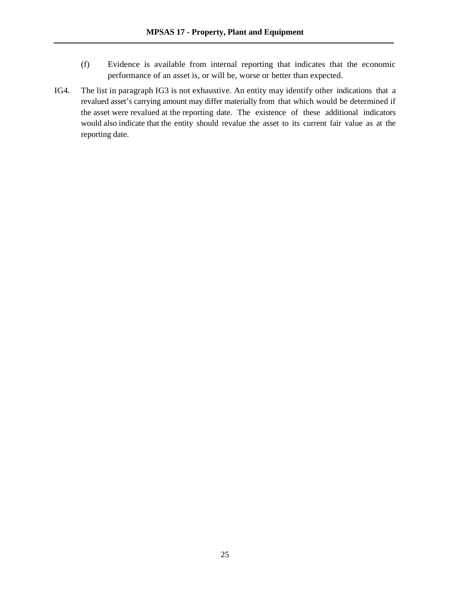- (f) Evidence is available from internal reporting that indicates that the economic performance of an asset is, or will be, worse or better than expected.
- IG4. The list in paragraph IG3 is not exhaustive. An entity may identify other indications that a revalued asset's carrying amount may differ materially from that which would be determined if the asset were revalued at the reporting date. The existence of these additional indicators would also indicate that the entity should revalue the asset to its current fair value as at the reporting date.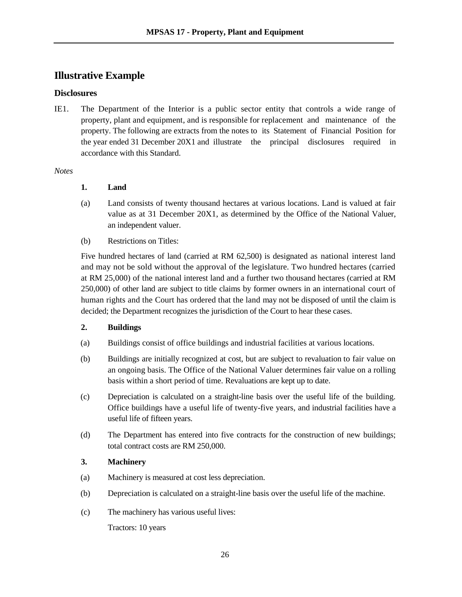# **Illustrative Example**

#### **Disclosures**

IE1. The Department of the Interior is a public sector entity that controls a wide range of property, plant and equipment, and is responsible for replacement and maintenance of the property. The following are extracts from the notes to its Statement of Financial Position for the year ended 31 December 20X1 and illustrate the principal disclosures required in accordance with this Standard.

#### *Notes*

#### **1. Land**

- (a) Land consists of twenty thousand hectares at various locations. Land is valued at fair value as at 31 December 20X1, as determined by the Office of the National Valuer, an independent valuer.
- (b) Restrictions on Titles:

Five hundred hectares of land (carried at RM 62,500) is designated as national interest land and may not be sold without the approval of the legislature. Two hundred hectares (carried at RM 25,000) of the national interest land and a further two thousand hectares (carried at RM 250,000) of other land are subject to title claims by former owners in an international court of human rights and the Court has ordered that the land may not be disposed of until the claim is decided; the Department recognizes the jurisdiction of the Court to hear these cases.

#### **2. Buildings**

- (a) Buildings consist of office buildings and industrial facilities at various locations.
- (b) Buildings are initially recognized at cost, but are subject to revaluation to fair value on an ongoing basis. The Office of the National Valuer determines fair value on a rolling basis within a short period of time. Revaluations are kept up to date.
- (c) Depreciation is calculated on a straight-line basis over the useful life of the building. Office buildings have a useful life of twenty-five years, and industrial facilities have a useful life of fifteen years.
- (d) The Department has entered into five contracts for the construction of new buildings; total contract costs are RM 250,000.

#### **3. Machinery**

- (a) Machinery is measured at cost less depreciation.
- (b) Depreciation is calculated on a straight-line basis over the useful life of the machine.
- (c) The machinery has various useful lives:

Tractors: 10 years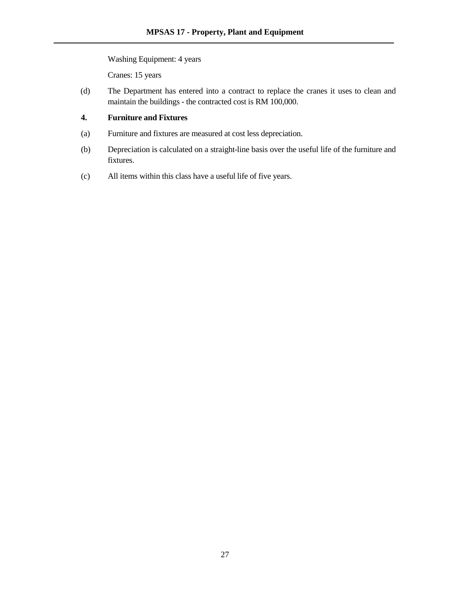Washing Equipment: 4 years

Cranes: 15 years

(d) The Department has entered into a contract to replace the cranes it uses to clean and maintain the buildings - the contracted cost is RM 100,000.

#### **4. Furniture and Fixtures**

- (a) Furniture and fixtures are measured at cost less depreciation.
- (b) Depreciation is calculated on a straight-line basis over the useful life of the furniture and fixtures.
- (c) All items within this class have a useful life of five years.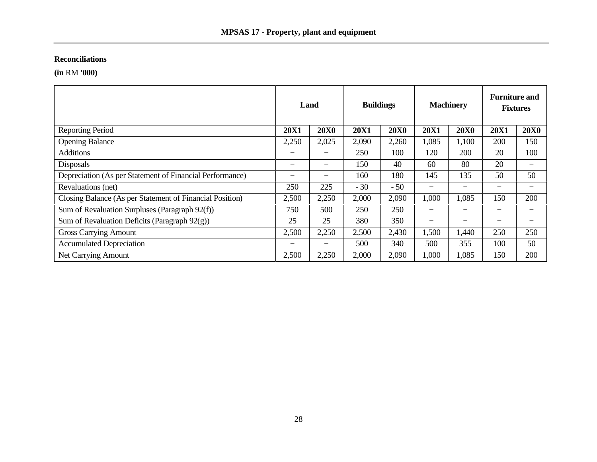#### **Reconciliations**

#### **(in** RM **'000)**

|                                                          | Land                     |                          | <b>Buildings</b> |             | <b>Machinery</b>         |             | <b>Furniture and</b><br><b>Fixtures</b> |             |
|----------------------------------------------------------|--------------------------|--------------------------|------------------|-------------|--------------------------|-------------|-----------------------------------------|-------------|
| <b>Reporting Period</b>                                  | <b>20X1</b>              | <b>20X0</b>              | <b>20X1</b>      | <b>20X0</b> | <b>20X1</b>              | <b>20X0</b> | <b>20X1</b>                             | <b>20X0</b> |
| <b>Opening Balance</b>                                   | 2,250                    | 2,025                    | 2,090            | 2,260       | 1,085                    | 1,100       | 200                                     | 150         |
| <b>Additions</b>                                         |                          |                          | 250              | 100         | 120                      | 200         | 20                                      | 100         |
| Disposals                                                | —                        |                          | 150              | 40          | 60                       | 80          | 20                                      |             |
| Depreciation (As per Statement of Financial Performance) | $\overline{\phantom{m}}$ | $\overline{\phantom{0}}$ | 160              | 180         | 145                      | 135         | 50                                      | 50          |
| Revaluations (net)                                       | 250                      | 225                      | $-30$            | $-50$       | $\overline{\phantom{m}}$ | —           | $\overline{\phantom{m}}$                | —           |
| Closing Balance (As per Statement of Financial Position) | 2,500                    | 2,250                    | 2,000            | 2,090       | 1,000                    | 1,085       | 150                                     | 200         |
| Sum of Revaluation Surpluses (Paragraph 92(f))           | 750                      | 500                      | 250              | 250         |                          | -           |                                         | —           |
| Sum of Revaluation Deficits (Paragraph $92(g)$ )         | 25                       | 25                       | 380              | 350         | $\overline{\phantom{m}}$ | —           | $\overline{\phantom{0}}$                | —           |
| <b>Gross Carrying Amount</b>                             | 2,500                    | 2,250                    | 2,500            | 2,430       | 1,500                    | 1,440       | 250                                     | 250         |
| <b>Accumulated Depreciation</b>                          | —                        | $\overline{\phantom{m}}$ | 500              | 340         | 500                      | 355         | 100                                     | 50          |
| Net Carrying Amount                                      | 2,500                    | 2,250                    | 2,000            | 2,090       | 1,000                    | 1,085       | 150                                     | 200         |